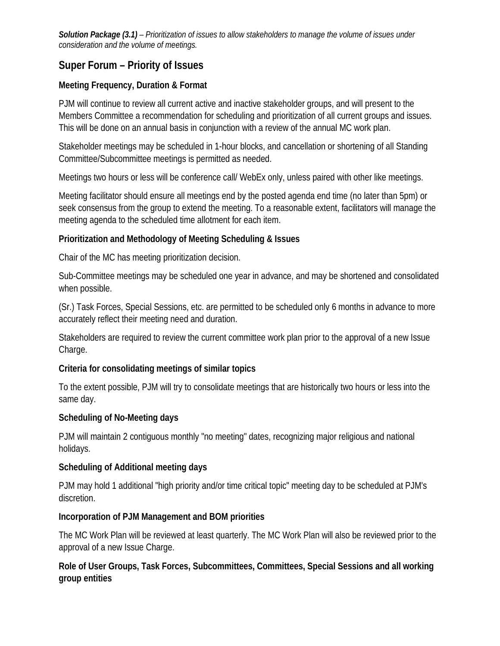*Solution Package (3.1) – Prioritization of issues to allow stakeholders to manage the volume of issues under consideration and the volume of meetings.* 

# **Super Forum – Priority of Issues**

### **Meeting Frequency, Duration & Format**

PJM will continue to review all current active and inactive stakeholder groups, and will present to the Members Committee a recommendation for scheduling and prioritization of all current groups and issues. This will be done on an annual basis in conjunction with a review of the annual MC work plan.

Stakeholder meetings may be scheduled in 1-hour blocks, and cancellation or shortening of all Standing Committee/Subcommittee meetings is permitted as needed.

Meetings two hours or less will be conference call/ WebEx only, unless paired with other like meetings.

Meeting facilitator should ensure all meetings end by the posted agenda end time (no later than 5pm) or seek consensus from the group to extend the meeting. To a reasonable extent, facilitators will manage the meeting agenda to the scheduled time allotment for each item.

#### **Prioritization and Methodology of Meeting Scheduling & Issues**

Chair of the MC has meeting prioritization decision.

Sub-Committee meetings may be scheduled one year in advance, and may be shortened and consolidated when possible.

(Sr.) Task Forces, Special Sessions, etc. are permitted to be scheduled only 6 months in advance to more accurately reflect their meeting need and duration.

Stakeholders are required to review the current committee work plan prior to the approval of a new Issue Charge.

#### **Criteria for consolidating meetings of similar topics**

To the extent possible, PJM will try to consolidate meetings that are historically two hours or less into the same day.

#### **Scheduling of No-Meeting days**

PJM will maintain 2 contiguous monthly "no meeting" dates, recognizing major religious and national holidays.

#### **Scheduling of Additional meeting days**

PJM may hold 1 additional "high priority and/or time critical topic" meeting day to be scheduled at PJM's discretion.

#### **Incorporation of PJM Management and BOM priorities**

The MC Work Plan will be reviewed at least quarterly. The MC Work Plan will also be reviewed prior to the approval of a new Issue Charge.

## **Role of User Groups, Task Forces, Subcommittees, Committees, Special Sessions and all working group entities**